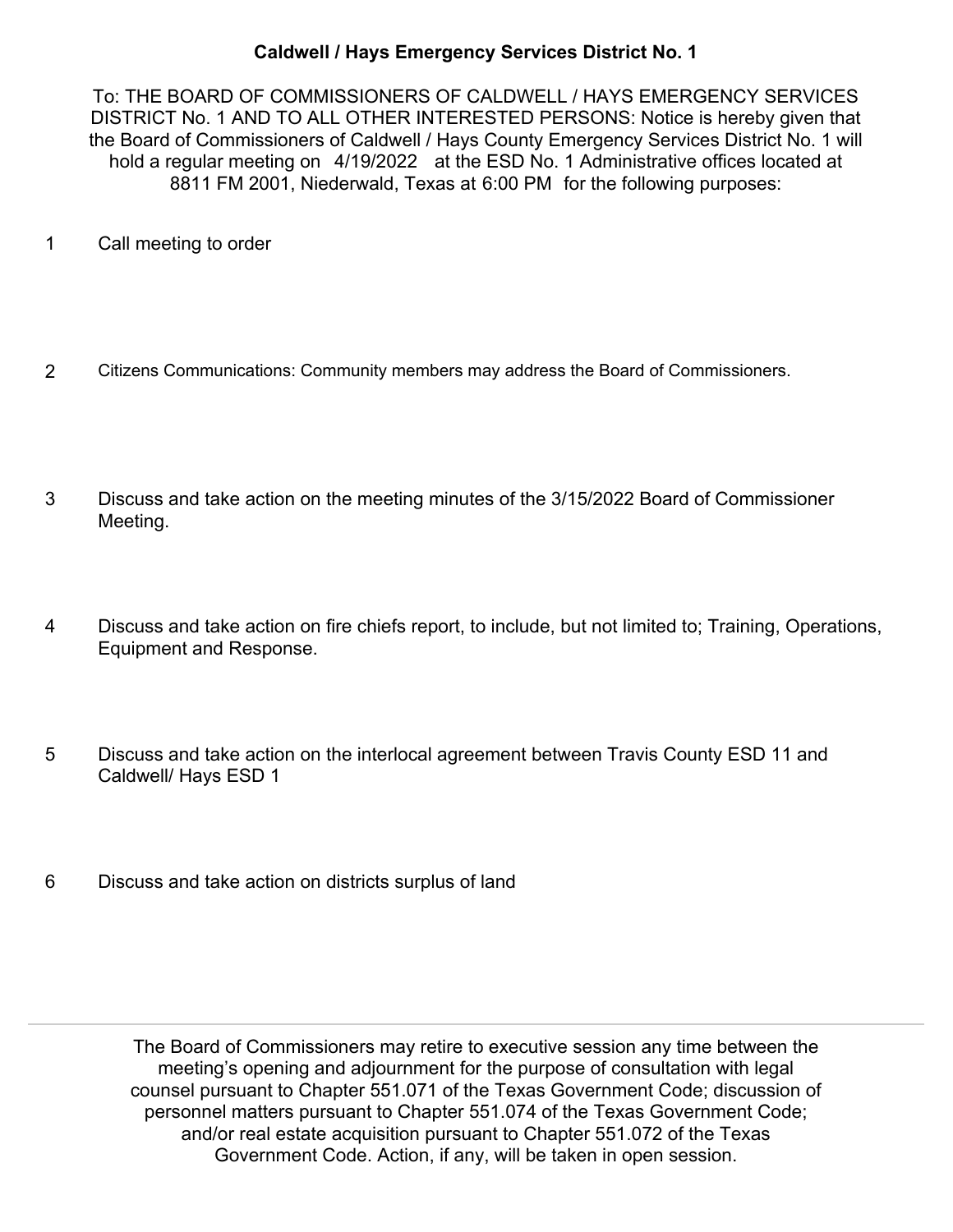## **Caldwell / Hays Emergency Services District No. 1**

To: THE BOARD OF COMMISSIONERS OF CALDWELL / HAYS EMERGENCY SERVICES DISTRICT No. 1 AND TO ALL OTHER INTERESTED PERSONS: Notice is hereby given that the Board of Commissioners of Caldwell / Hays County Emergency Services District No. 1 will hold a regular meeting on 4/19/2022 at the ESD No. 1 Administrative offices located at 8811 FM 2001, Niederwald, Texas at 6:00 PM for the following purposes:

- 1 Call meeting to order
- 2 Citizens Communications: Community members may address the Board of Commissioners.
- Discuss and take action on the meeting minutes of the 3/15/2022 Board of Commissioner Meeting. 3
- Discuss and take action on fire chiefs report, to include, but not limited to; Training, Operations, Equipment and Response. 4
- Discuss and take action on the interlocal agreement between Travis County ESD 11 and Caldwell/ Hays ESD 1 5
- 6 Discuss and take action on districts surplus of land

The Board of Commissioners may retire to executive session any time between the meeting's opening and adjournment for the purpose of consultation with legal counsel pursuant to Chapter 551.071 of the Texas Government Code; discussion of personnel matters pursuant to Chapter 551.074 of the Texas Government Code; and/or real estate acquisition pursuant to Chapter 551.072 of the Texas Government Code. Action, if any, will be taken in open session.